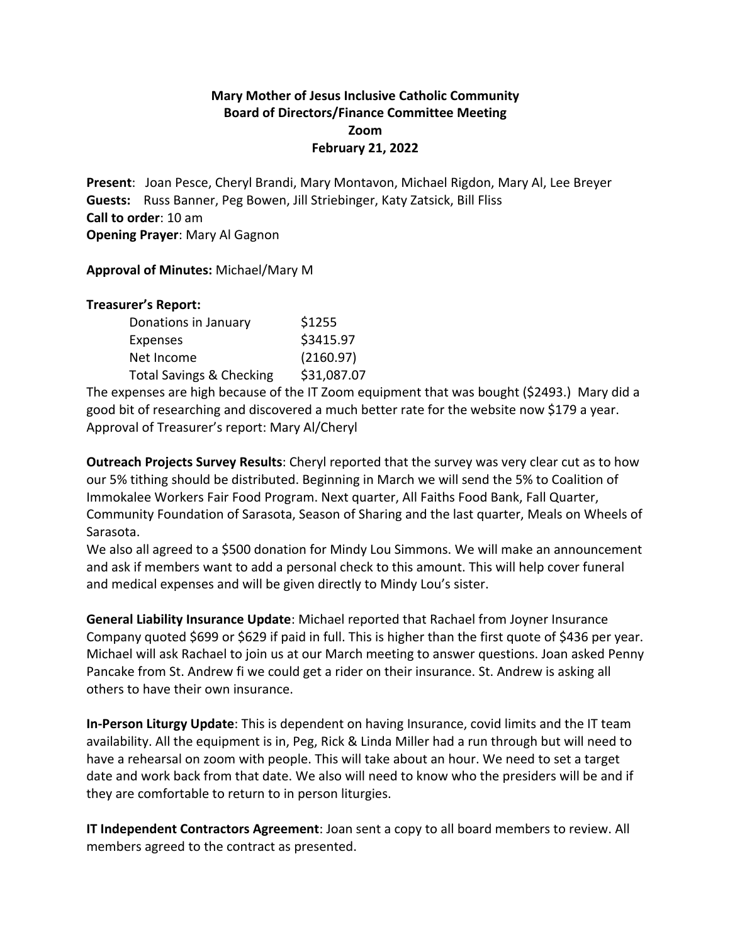## **Mary Mother of Jesus Inclusive Catholic Community Board of Directors/Finance Committee Meeting Zoom February 21, 2022**

**Present**: Joan Pesce, Cheryl Brandi, Mary Montavon, Michael Rigdon, Mary Al, Lee Breyer **Guests:** Russ Banner, Peg Bowen, Jill Striebinger, Katy Zatsick, Bill Fliss **Call to order**: 10 am **Opening Prayer**: Mary Al Gagnon

**Approval of Minutes:** Michael/Mary M

## **Treasurer's Report:**

| Donations in January                | \$1255      |
|-------------------------------------|-------------|
| Expenses                            | \$3415.97   |
| Net Income                          | (2160.97)   |
| <b>Total Savings &amp; Checking</b> | \$31,087.07 |

The expenses are high because of the IT Zoom equipment that was bought (\$2493.) Mary did a good bit of researching and discovered a much better rate for the website now \$179 a year. Approval of Treasurer's report: Mary Al/Cheryl

**Outreach Projects Survey Results**: Cheryl reported that the survey was very clear cut as to how our 5% tithing should be distributed. Beginning in March we will send the 5% to Coalition of Immokalee Workers Fair Food Program. Next quarter, All Faiths Food Bank, Fall Quarter, Community Foundation of Sarasota, Season of Sharing and the last quarter, Meals on Wheels of Sarasota.

We also all agreed to a \$500 donation for Mindy Lou Simmons. We will make an announcement and ask if members want to add a personal check to this amount. This will help cover funeral and medical expenses and will be given directly to Mindy Lou's sister.

**General Liability Insurance Update**: Michael reported that Rachael from Joyner Insurance Company quoted \$699 or \$629 if paid in full. This is higher than the first quote of \$436 per year. Michael will ask Rachael to join us at our March meeting to answer questions. Joan asked Penny Pancake from St. Andrew fi we could get a rider on their insurance. St. Andrew is asking all others to have their own insurance.

**In-Person Liturgy Update**: This is dependent on having Insurance, covid limits and the IT team availability. All the equipment is in, Peg, Rick & Linda Miller had a run through but will need to have a rehearsal on zoom with people. This will take about an hour. We need to set a target date and work back from that date. We also will need to know who the presiders will be and if they are comfortable to return to in person liturgies.

**IT Independent Contractors Agreement**: Joan sent a copy to all board members to review. All members agreed to the contract as presented.